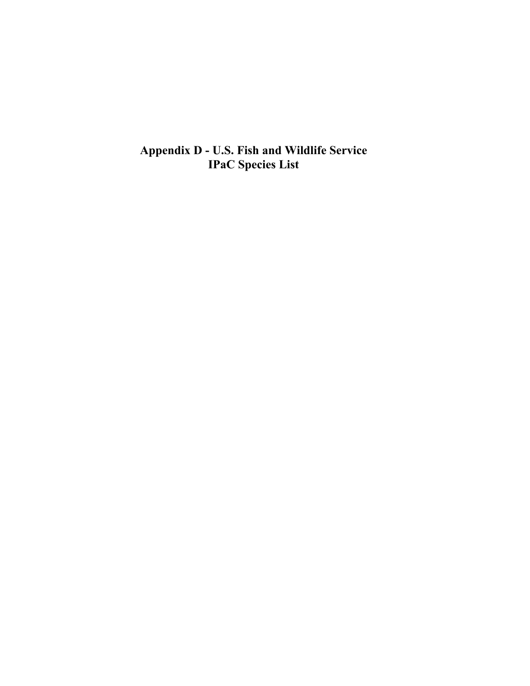**Appendix D - U.S. Fish and Wildlife Service IPaC Species List**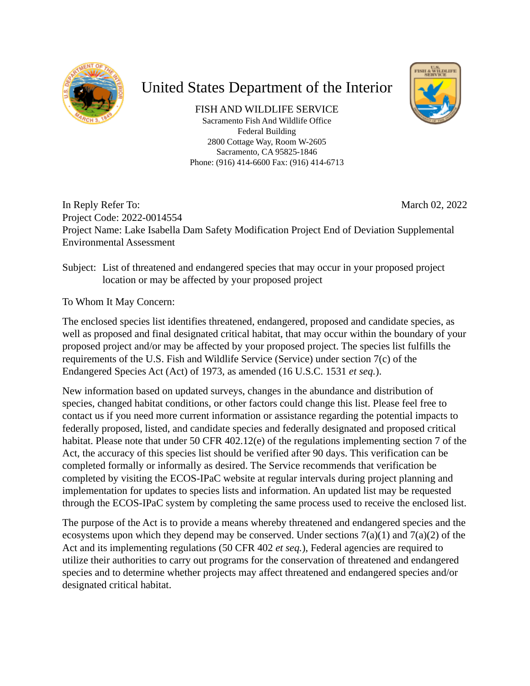

## United States Department of the Interior

FISH AND WILDLIFE SERVICE Sacramento Fish And Wildlife Office Federal Building 2800 Cottage Way, Room W-2605 Sacramento, CA 95825-1846 Phone: (916) 414-6600 Fax: (916) 414-6713



March 02, 2022 In Reply Refer To: Project Code: 2022-0014554 Project Name: Lake Isabella Dam Safety Modification Project End of Deviation Supplemental Environmental Assessment

### Subject: List of threatened and endangered species that may occur in your proposed project location or may be affected by your proposed project

To Whom It May Concern:

The enclosed species list identifies threatened, endangered, proposed and candidate species, as well as proposed and final designated critical habitat, that may occur within the boundary of your proposed project and/or may be affected by your proposed project. The species list fulfills the requirements of the U.S. Fish and Wildlife Service (Service) under section 7(c) of the Endangered Species Act (Act) of 1973, as amended (16 U.S.C. 1531 *et seq.*).

New information based on updated surveys, changes in the abundance and distribution of species, changed habitat conditions, or other factors could change this list. Please feel free to contact us if you need more current information or assistance regarding the potential impacts to federally proposed, listed, and candidate species and federally designated and proposed critical habitat. Please note that under 50 CFR 402.12(e) of the regulations implementing section 7 of the Act, the accuracy of this species list should be verified after 90 days. This verification can be completed formally or informally as desired. The Service recommends that verification be completed by visiting the ECOS-IPaC website at regular intervals during project planning and implementation for updates to species lists and information. An updated list may be requested through the ECOS-IPaC system by completing the same process used to receive the enclosed list.

The purpose of the Act is to provide a means whereby threatened and endangered species and the ecosystems upon which they depend may be conserved. Under sections  $7(a)(1)$  and  $7(a)(2)$  of the Act and its implementing regulations (50 CFR 402 *et seq.*), Federal agencies are required to utilize their authorities to carry out programs for the conservation of threatened and endangered species and to determine whether projects may affect threatened and endangered species and/or designated critical habitat.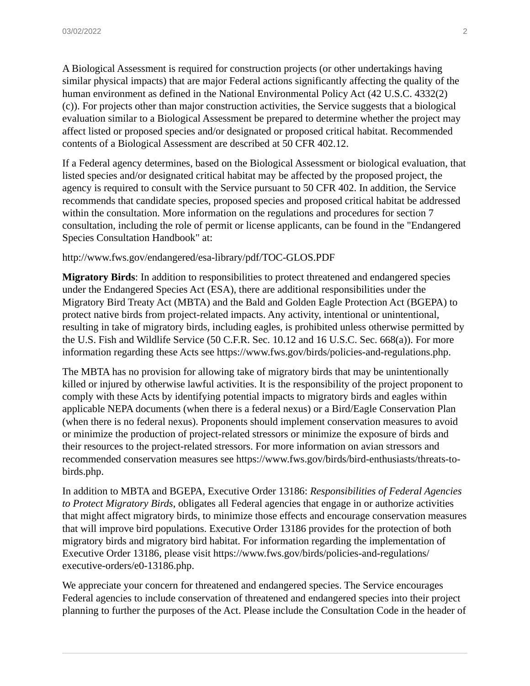A Biological Assessment is required for construction projects (or other undertakings having similar physical impacts) that are major Federal actions significantly affecting the quality of the human environment as defined in the National Environmental Policy Act (42 U.S.C. 4332(2) (c)). For projects other than major construction activities, the Service suggests that a biological evaluation similar to a Biological Assessment be prepared to determine whether the project may affect listed or proposed species and/or designated or proposed critical habitat. Recommended contents of a Biological Assessment are described at 50 CFR 402.12.

If a Federal agency determines, based on the Biological Assessment or biological evaluation, that listed species and/or designated critical habitat may be affected by the proposed project, the agency is required to consult with the Service pursuant to 50 CFR 402. In addition, the Service recommends that candidate species, proposed species and proposed critical habitat be addressed within the consultation. More information on the regulations and procedures for section 7 consultation, including the role of permit or license applicants, can be found in the "Endangered Species Consultation Handbook" at:

#### http://www.fws.gov/endangered/esa-library/pdf/TOC-GLOS.PDF

**Migratory Birds**: In addition to responsibilities to protect threatened and endangered species under the Endangered Species Act (ESA), there are additional responsibilities under the Migratory Bird Treaty Act (MBTA) and the Bald and Golden Eagle Protection Act (BGEPA) to protect native birds from project-related impacts. Any activity, intentional or unintentional, resulting in take of migratory birds, including eagles, is prohibited unless otherwise permitted by the U.S. Fish and Wildlife Service (50 C.F.R. Sec. 10.12 and 16 U.S.C. Sec. 668(a)). For more information regarding these Acts see https://www.fws.gov/birds/policies-and-regulations.php.

The MBTA has no provision for allowing take of migratory birds that may be unintentionally killed or injured by otherwise lawful activities. It is the responsibility of the project proponent to comply with these Acts by identifying potential impacts to migratory birds and eagles within applicable NEPA documents (when there is a federal nexus) or a Bird/Eagle Conservation Plan (when there is no federal nexus). Proponents should implement conservation measures to avoid or minimize the production of project-related stressors or minimize the exposure of birds and their resources to the project-related stressors. For more information on avian stressors and recommended conservation measures see https://www.fws.gov/birds/bird-enthusiasts/threats-tobirds.php.

In addition to MBTA and BGEPA, Executive Order 13186: *Responsibilities of Federal Agencies to Protect Migratory Birds*, obligates all Federal agencies that engage in or authorize activities that might affect migratory birds, to minimize those effects and encourage conservation measures that will improve bird populations. Executive Order 13186 provides for the protection of both migratory birds and migratory bird habitat. For information regarding the implementation of Executive Order 13186, please visit https://www.fws.gov/birds/policies-and-regulations/ executive-orders/e0-13186.php.

We appreciate your concern for threatened and endangered species. The Service encourages Federal agencies to include conservation of threatened and endangered species into their project planning to further the purposes of the Act. Please include the Consultation Code in the header of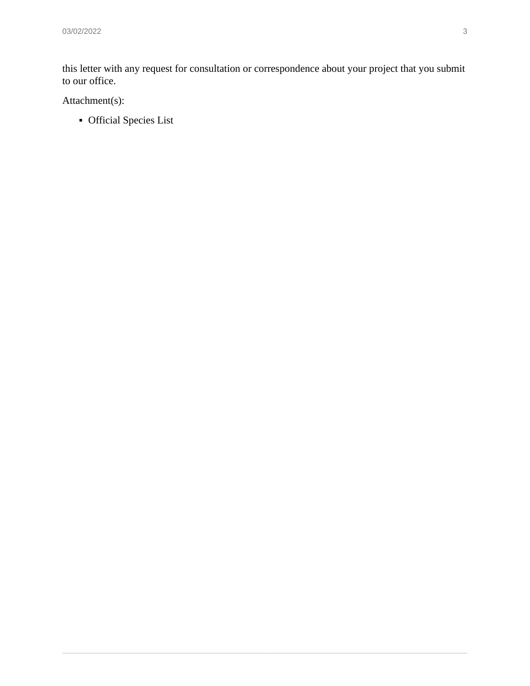this letter with any request for consultation or correspondence about your project that you submit to our office.

Attachment(s):

**•** Official Species List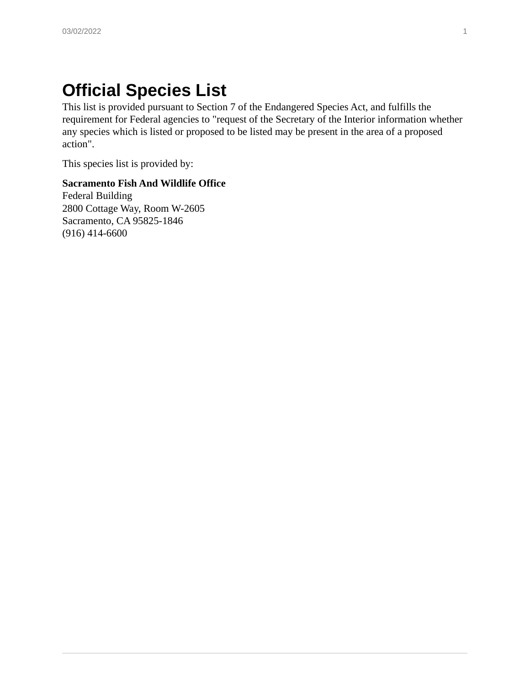# **Official Species List**

This list is provided pursuant to Section 7 of the Endangered Species Act, and fulfills the requirement for Federal agencies to "request of the Secretary of the Interior information whether any species which is listed or proposed to be listed may be present in the area of a proposed action".

This species list is provided by:

#### **Sacramento Fish And Wildlife Office**

Federal Building 2800 Cottage Way, Room W-2605 Sacramento, CA 95825-1846 (916) 414-6600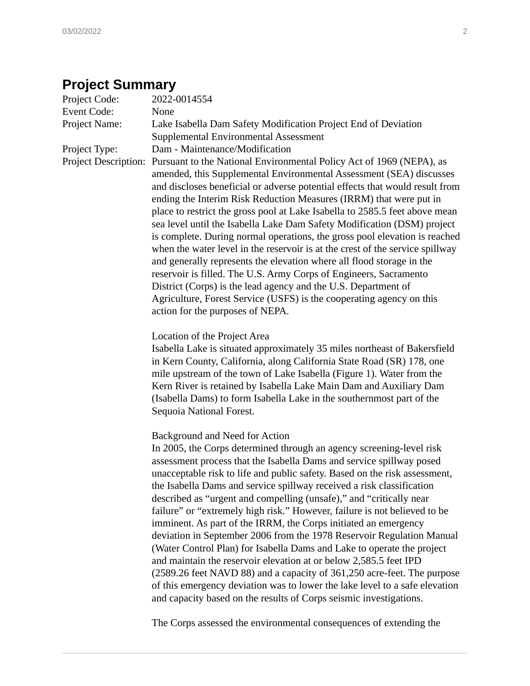## **Project Summary**

| Project Code:               | 2022-0014554                                                                                                                                                                                                                                                                                                                                                                                                                                                                                                                                                                                                                                                                                                                                                                                                                                                                                                                                                                                                         |
|-----------------------------|----------------------------------------------------------------------------------------------------------------------------------------------------------------------------------------------------------------------------------------------------------------------------------------------------------------------------------------------------------------------------------------------------------------------------------------------------------------------------------------------------------------------------------------------------------------------------------------------------------------------------------------------------------------------------------------------------------------------------------------------------------------------------------------------------------------------------------------------------------------------------------------------------------------------------------------------------------------------------------------------------------------------|
| <b>Event Code:</b>          | None                                                                                                                                                                                                                                                                                                                                                                                                                                                                                                                                                                                                                                                                                                                                                                                                                                                                                                                                                                                                                 |
| Project Name:               | Lake Isabella Dam Safety Modification Project End of Deviation<br>Supplemental Environmental Assessment                                                                                                                                                                                                                                                                                                                                                                                                                                                                                                                                                                                                                                                                                                                                                                                                                                                                                                              |
| Project Type:               | Dam - Maintenance/Modification                                                                                                                                                                                                                                                                                                                                                                                                                                                                                                                                                                                                                                                                                                                                                                                                                                                                                                                                                                                       |
| <b>Project Description:</b> | Pursuant to the National Environmental Policy Act of 1969 (NEPA), as<br>amended, this Supplemental Environmental Assessment (SEA) discusses<br>and discloses beneficial or adverse potential effects that would result from<br>ending the Interim Risk Reduction Measures (IRRM) that were put in<br>place to restrict the gross pool at Lake Isabella to 2585.5 feet above mean<br>sea level until the Isabella Lake Dam Safety Modification (DSM) project<br>is complete. During normal operations, the gross pool elevation is reached<br>when the water level in the reservoir is at the crest of the service spillway<br>and generally represents the elevation where all flood storage in the<br>reservoir is filled. The U.S. Army Corps of Engineers, Sacramento<br>District (Corps) is the lead agency and the U.S. Department of<br>Agriculture, Forest Service (USFS) is the cooperating agency on this<br>action for the purposes of NEPA.                                                               |
|                             | Location of the Project Area<br>Isabella Lake is situated approximately 35 miles northeast of Bakersfield<br>in Kern County, California, along California State Road (SR) 178, one<br>mile upstream of the town of Lake Isabella (Figure 1). Water from the<br>Kern River is retained by Isabella Lake Main Dam and Auxiliary Dam<br>(Isabella Dams) to form Isabella Lake in the southernmost part of the<br>Sequoia National Forest.                                                                                                                                                                                                                                                                                                                                                                                                                                                                                                                                                                               |
|                             | Background and Need for Action<br>In 2005, the Corps determined through an agency screening-level risk<br>assessment process that the Isabella Dams and service spillway posed<br>unacceptable risk to life and public safety. Based on the risk assessment,<br>the Isabella Dams and service spillway received a risk classification<br>described as "urgent and compelling (unsafe)," and "critically near<br>failure" or "extremely high risk." However, failure is not believed to be<br>imminent. As part of the IRRM, the Corps initiated an emergency<br>deviation in September 2006 from the 1978 Reservoir Regulation Manual<br>(Water Control Plan) for Isabella Dams and Lake to operate the project<br>and maintain the reservoir elevation at or below 2,585.5 feet IPD<br>(2589.26 feet NAVD 88) and a capacity of 361,250 acre-feet. The purpose<br>of this emergency deviation was to lower the lake level to a safe elevation<br>and capacity based on the results of Corps seismic investigations. |
|                             |                                                                                                                                                                                                                                                                                                                                                                                                                                                                                                                                                                                                                                                                                                                                                                                                                                                                                                                                                                                                                      |

The Corps assessed the environmental consequences of extending the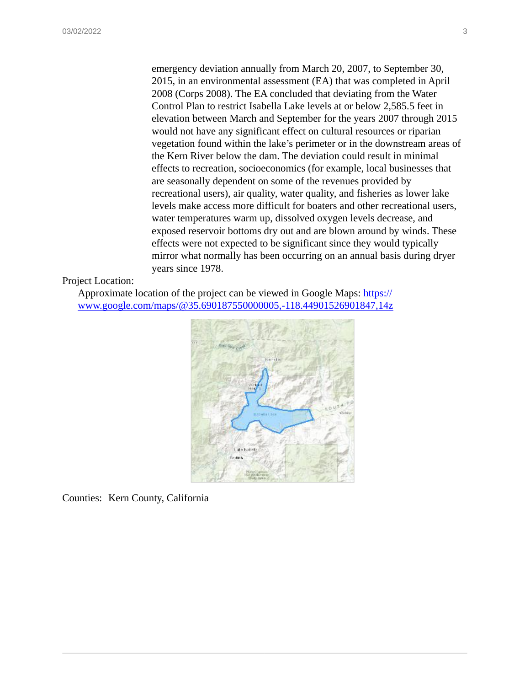emergency deviation annually from March 20, 2007, to September 30, 2015, in an environmental assessment (EA) that was completed in April 2008 (Corps 2008). The EA concluded that deviating from the Water Control Plan to restrict Isabella Lake levels at or below 2,585.5 feet in elevation between March and September for the years 2007 through 2015 would not have any significant effect on cultural resources or riparian vegetation found within the lake's perimeter or in the downstream areas of the Kern River below the dam. The deviation could result in minimal effects to recreation, socioeconomics (for example, local businesses that are seasonally dependent on some of the revenues provided by recreational users), air quality, water quality, and fisheries as lower lake levels make access more difficult for boaters and other recreational users, water temperatures warm up, dissolved oxygen levels decrease, and exposed reservoir bottoms dry out and are blown around by winds. These effects were not expected to be significant since they would typically mirror what normally has been occurring on an annual basis during dryer years since 1978.

#### Project Location:

Approximate location of the project can be viewed in Google Maps: [https://](https://www.google.com/maps/@35.690187550000005,-118.44901526901847,14z) [www.google.com/maps/@35.690187550000005,-118.44901526901847,14z](https://www.google.com/maps/@35.690187550000005,-118.44901526901847,14z)



Counties: Kern County, California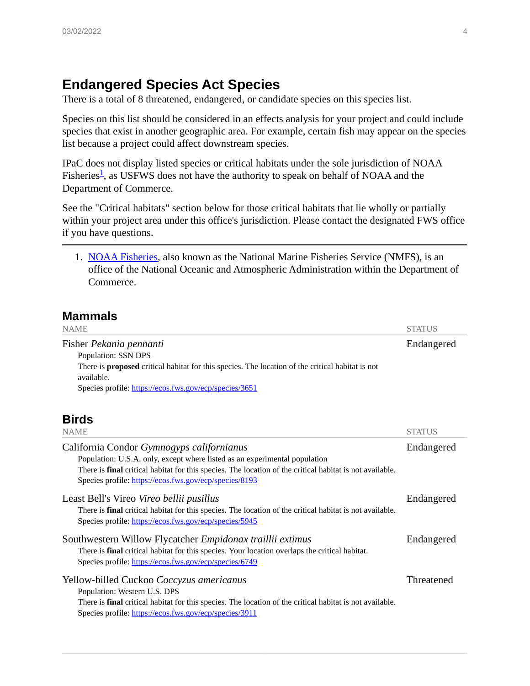### **Endangered Species Act Species**

There is a total of 8 threatened, endangered, or candidate species on this species list.

Species on this list should be considered in an effects analysis for your project and could include species that exist in another geographic area. For example, certain fish may appear on the species list because a project could affect downstream species.

IPaC does not display listed species or critical habitats under the sole jurisdiction of NOAA Fisheries<sup>[1](#page-7-0)</sup>, as USFWS does not have the authority to speak on behalf of NOAA and the Department of Commerce.

See the "Critical habitats" section below for those critical habitats that lie wholly or partially within your project area under this office's jurisdiction. Please contact the designated FWS office if you have questions.

<span id="page-7-0"></span>1. [NOAA Fisheries](https://www.fisheries.noaa.gov/), also known as the National Marine Fisheries Service (NMFS), is an office of the National Oceanic and Atmospheric Administration within the Department of Commerce.

### **Mammals**

| <b>NAME</b>                                                                                             | <b>STATUS</b> |
|---------------------------------------------------------------------------------------------------------|---------------|
| Fisher Pekania pennanti                                                                                 | Endangered    |
| Population: SSN DPS                                                                                     |               |
| There is <b>proposed</b> critical habitat for this species. The location of the critical habitat is not |               |
| available.                                                                                              |               |
| Species profile: https://ecos.fws.gov/ecp/species/3651                                                  |               |

### **Birds**

| <b>NAME</b>                                                                                                                                                                                                                                                                                          | <b>STATUS</b> |
|------------------------------------------------------------------------------------------------------------------------------------------------------------------------------------------------------------------------------------------------------------------------------------------------------|---------------|
| California Condor Gymnogyps californianus<br>Population: U.S.A. only, except where listed as an experimental population<br>There is <i>final</i> critical habitat for this species. The location of the critical habitat is not available.<br>Species profile: https://ecos.fws.gov/ecp/species/8193 | Endangered    |
| Least Bell's Vireo Vireo bellii pusillus<br>There is final critical habitat for this species. The location of the critical habitat is not available.<br>Species profile: https://ecos.fws.gov/ecp/species/5945                                                                                       | Endangered    |
| Southwestern Willow Flycatcher Empidonax traillii extimus<br>There is final critical habitat for this species. Your location overlaps the critical habitat.<br>Species profile: https://ecos.fws.gov/ecp/species/6749                                                                                |               |
| Yellow-billed Cuckoo Coccyzus americanus<br>Population: Western U.S. DPS<br>There is <i>final</i> critical habitat for this species. The location of the critical habitat is not available.<br>Species profile: https://ecos.fws.gov/ecp/species/3911                                                | Threatened    |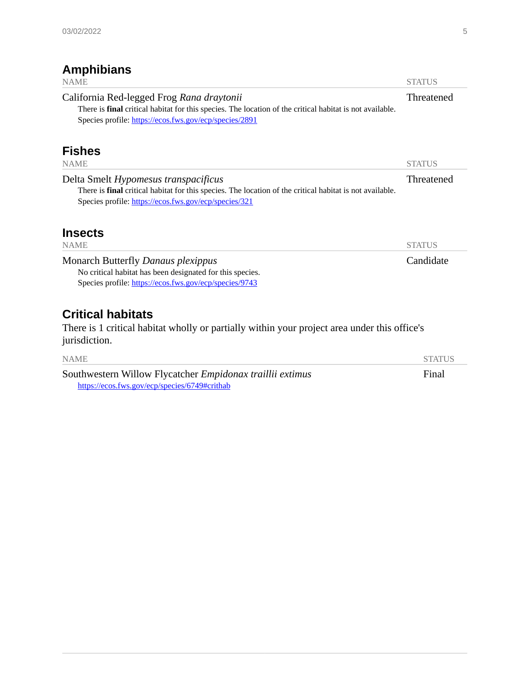### **Amphibians**

| <b>NAME</b>                                                                                                                                                                                                            | <b>STATUS</b> |
|------------------------------------------------------------------------------------------------------------------------------------------------------------------------------------------------------------------------|---------------|
| California Red-legged Frog Rana draytonii<br>There is <i>final</i> critical habitat for this species. The location of the critical habitat is not available.<br>Species profile: https://ecos.fws.gov/ecp/species/2891 | Threatened    |
| <b>Fishes</b><br><b>NAME</b>                                                                                                                                                                                           | <b>STATUS</b> |
|                                                                                                                                                                                                                        |               |
| Delta Smelt Hypomesus transpacificus<br>There is <i>final</i> critical habitat for this species. The location of the critical habitat is not available.<br>Species profile: https://ecos.fws.gov/ecp/species/321       | Threatened    |
| <b>Insects</b><br><b>NAME</b>                                                                                                                                                                                          | <b>STATUS</b> |
| <b>Monarch Butterfly Danaus plexippus</b><br>No critical habitat has been designated for this species.<br>Species profile: https://ecos.fws.gov/ecp/species/9743                                                       | Candidate     |
| <b>Critical habitats</b><br>There is 1 critical habitat wholly or partially within your project area under this office's<br>jurisdiction.                                                                              |               |
| <b>NAME</b>                                                                                                                                                                                                            | <b>STATUS</b> |

Southwestern Willow Flycatcher *Empidonax traillii extimus* <https://ecos.fws.gov/ecp/species/6749#crithab>

Final